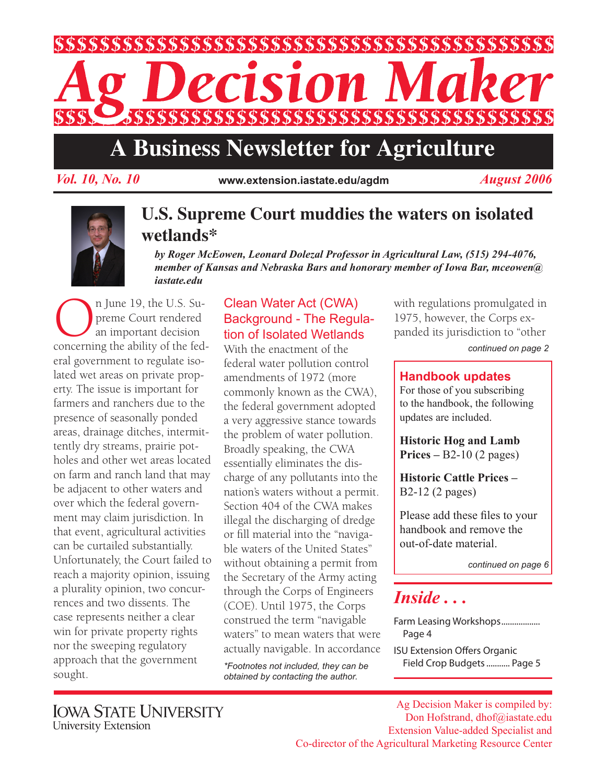

# **A Business Newsletter for Agriculture**

*Vol. 10, No. 10 August 2006* **www.extension.iastate.edu/agdm**



### **U.S. Supreme Court muddies the waters on isolated wetlands\***

*by Roger McEowen, Leonard Dolezal Professor in Agricultural Law, (515) 294-4076, member of Kansas and Nebraska Bars and honorary member of Iowa Bar, mceowen@ iastate.edu*

**On** June 19, the U.S. Supreme Court rendered<br>an important decision<br>concerning the ability of the fedpreme Court rendered an important decision eral government to regulate isolated wet areas on private property. The issue is important for farmers and ranchers due to the presence of seasonally ponded areas, drainage ditches, intermittently dry streams, prairie potholes and other wet areas located on farm and ranch land that may be adjacent to other waters and over which the federal government may claim jurisdiction. In that event, agricultural activities can be curtailed substantially. Unfortunately, the Court failed to reach a majority opinion, issuing a plurality opinion, two concurrences and two dissents. The case represents neither a clear win for private property rights nor the sweeping regulatory approach that the government sought.

#### Clean Water Act (CWA) Background - The Regulation of Isolated Wetlands

With the enactment of the federal water pollution control amendments of 1972 (more commonly known as the CWA), the federal government adopted a very aggressive stance towards the problem of water pollution. Broadly speaking, the CWA essentially eliminates the discharge of any pollutants into the nation's waters without a permit. Section 404 of the CWA makes illegal the discharging of dredge or fill material into the "navigable waters of the United States" without obtaining a permit from the Secretary of the Army acting through the Corps of Engineers (COE). Until 1975, the Corps construed the term "navigable waters" to mean waters that were actually navigable. In accordance

*\*Footnotes not included, they can be obtained by contacting the author.*

with regulations promulgated in 1975, however, the Corps expanded its jurisdiction to "other

*continued on page 2*

#### **Handbook updates**

For those of you subscribing to the handbook, the following updates are included.

**Historic Hog and Lamb Prices –** B2-10 (2 pages)

**Historic Cattle Prices –**  B2-12 (2 pages)

Please add these files to your handbook and remove the out-of-date material.

*continued on page 6*

# *Inside . . .*

Farm Leasing Workshops................... Page 4

ISU Extension Offers Organic Field Crop Budgets........... Page 5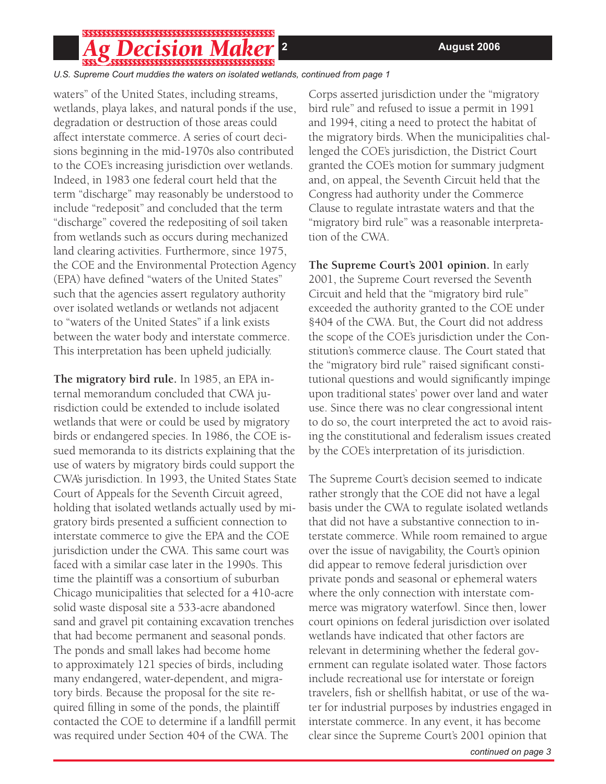## 

*U.S. Supreme Court muddies the waters on isolated wetlands, continued from page 1*

waters" of the United States, including streams, wetlands, playa lakes, and natural ponds if the use, degradation or destruction of those areas could affect interstate commerce. A series of court decisions beginning in the mid-1970s also contributed to the COE's increasing jurisdiction over wetlands. Indeed, in 1983 one federal court held that the term "discharge" may reasonably be understood to include "redeposit" and concluded that the term "discharge" covered the redepositing of soil taken from wetlands such as occurs during mechanized land clearing activities. Furthermore, since 1975, the COE and the Environmental Protection Agency (EPA) have defined "waters of the United States" such that the agencies assert regulatory authority over isolated wetlands or wetlands not adjacent to "waters of the United States" if a link exists between the water body and interstate commerce. This interpretation has been upheld judicially.

**The migratory bird rule.** In 1985, an EPA internal memorandum concluded that CWA jurisdiction could be extended to include isolated wetlands that were or could be used by migratory birds or endangered species. In 1986, the COE issued memoranda to its districts explaining that the use of waters by migratory birds could support the CWA's jurisdiction. In 1993, the United States State Court of Appeals for the Seventh Circuit agreed, holding that isolated wetlands actually used by migratory birds presented a sufficient connection to interstate commerce to give the EPA and the COE jurisdiction under the CWA. This same court was faced with a similar case later in the 1990s. This time the plaintiff was a consortium of suburban Chicago municipalities that selected for a 410-acre solid waste disposal site a 533-acre abandoned sand and gravel pit containing excavation trenches that had become permanent and seasonal ponds. The ponds and small lakes had become home to approximately 121 species of birds, including many endangered, water-dependent, and migratory birds. Because the proposal for the site required filling in some of the ponds, the plaintiff contacted the COE to determine if a landfill permit was required under Section 404 of the CWA. The

Corps asserted jurisdiction under the "migratory bird rule" and refused to issue a permit in 1991 and 1994, citing a need to protect the habitat of the migratory birds. When the municipalities challenged the COE's jurisdiction, the District Court granted the COE's motion for summary judgment and, on appeal, the Seventh Circuit held that the Congress had authority under the Commerce Clause to regulate intrastate waters and that the "migratory bird rule" was a reasonable interpretation of the CWA.

**The Supreme Court's 2001 opinion.** In early 2001, the Supreme Court reversed the Seventh Circuit and held that the "migratory bird rule" exceeded the authority granted to the COE under §404 of the CWA. But, the Court did not address the scope of the COE's jurisdiction under the Constitution's commerce clause. The Court stated that the "migratory bird rule" raised significant constitutional questions and would significantly impinge upon traditional states' power over land and water use. Since there was no clear congressional intent to do so, the court interpreted the act to avoid raising the constitutional and federalism issues created by the COE's interpretation of its jurisdiction.

The Supreme Court's decision seemed to indicate rather strongly that the COE did not have a legal basis under the CWA to regulate isolated wetlands that did not have a substantive connection to interstate commerce. While room remained to argue over the issue of navigability, the Court's opinion did appear to remove federal jurisdiction over private ponds and seasonal or ephemeral waters where the only connection with interstate commerce was migratory waterfowl. Since then, lower court opinions on federal jurisdiction over isolated wetlands have indicated that other factors are relevant in determining whether the federal government can regulate isolated water. Those factors include recreational use for interstate or foreign travelers, fish or shellfish habitat, or use of the water for industrial purposes by industries engaged in interstate commerce. In any event, it has become clear since the Supreme Court's 2001 opinion that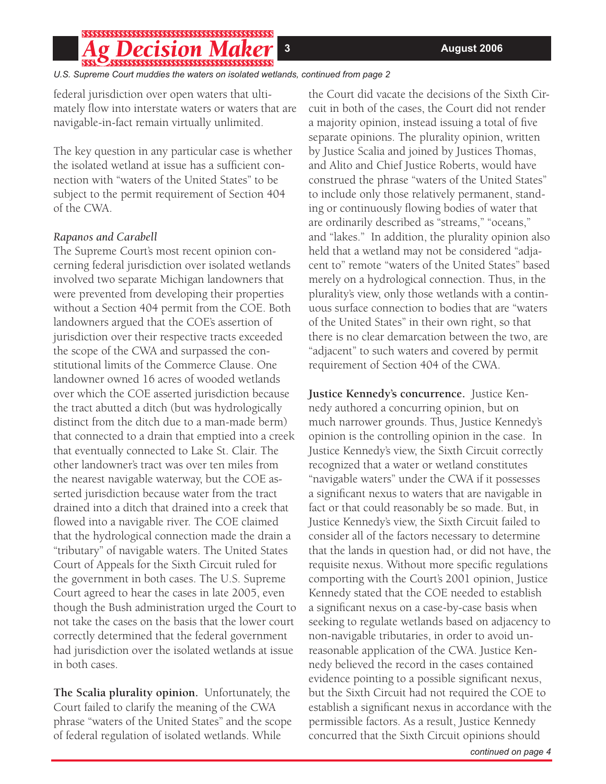#### PECISION A  $\overline{\phantom{0}}$  ,  $\overline{\phantom{0}}$  ,  $\overline{\phantom{0}}$  ,  $\overline{\phantom{0}}$  ,  $\overline{\phantom{0}}$  ,  $\overline{\phantom{0}}$  ,  $\overline{\phantom{0}}$  ,  $\overline{\phantom{0}}$  ,  $\overline{\phantom{0}}$  ,  $\overline{\phantom{0}}$  ,  $\overline{\phantom{0}}$  ,  $\overline{\phantom{0}}$  ,  $\overline{\phantom{0}}$  ,  $\overline{\phantom{0}}$  ,  $\overline{\phantom{0}}$  ,  $\overline{\phantom{0}}$

#### *U.S. Supreme Court muddies the waters on isolated wetlands, continued from page 2*

federal jurisdiction over open waters that ultimately flow into interstate waters or waters that are navigable-in-fact remain virtually unlimited.

The key question in any particular case is whether the isolated wetland at issue has a sufficient connection with "waters of the United States" to be subject to the permit requirement of Section 404 of the CWA.

#### *Rapanos and Carabell*

The Supreme Court's most recent opinion concerning federal jurisdiction over isolated wetlands involved two separate Michigan landowners that were prevented from developing their properties without a Section 404 permit from the COE. Both landowners argued that the COE's assertion of jurisdiction over their respective tracts exceeded the scope of the CWA and surpassed the constitutional limits of the Commerce Clause. One landowner owned 16 acres of wooded wetlands over which the COE asserted jurisdiction because the tract abutted a ditch (but was hydrologically distinct from the ditch due to a man-made berm) that connected to a drain that emptied into a creek that eventually connected to Lake St. Clair. The other landowner's tract was over ten miles from the nearest navigable waterway, but the COE asserted jurisdiction because water from the tract drained into a ditch that drained into a creek that flowed into a navigable river. The COE claimed that the hydrological connection made the drain a "tributary" of navigable waters. The United States Court of Appeals for the Sixth Circuit ruled for the government in both cases. The U.S. Supreme Court agreed to hear the cases in late 2005, even though the Bush administration urged the Court to not take the cases on the basis that the lower court correctly determined that the federal government had jurisdiction over the isolated wetlands at issue in both cases.

**The Scalia plurality opinion.** Unfortunately, the Court failed to clarify the meaning of the CWA phrase "waters of the United States" and the scope of federal regulation of isolated wetlands. While

the Court did vacate the decisions of the Sixth Circuit in both of the cases, the Court did not render a majority opinion, instead issuing a total of five separate opinions. The plurality opinion, written by Justice Scalia and joined by Justices Thomas, and Alito and Chief Justice Roberts, would have construed the phrase "waters of the United States" to include only those relatively permanent, standing or continuously flowing bodies of water that are ordinarily described as "streams," "oceans," and "lakes." In addition, the plurality opinion also held that a wetland may not be considered "adjacent to" remote "waters of the United States" based merely on a hydrological connection. Thus, in the plurality's view, only those wetlands with a continuous surface connection to bodies that are "waters of the United States" in their own right, so that there is no clear demarcation between the two, are "adjacent" to such waters and covered by permit requirement of Section 404 of the CWA.

**Justice Kennedy's concurrence.** Justice Kennedy authored a concurring opinion, but on much narrower grounds. Thus, Justice Kennedy's opinion is the controlling opinion in the case. In Justice Kennedy's view, the Sixth Circuit correctly recognized that a water or wetland constitutes "navigable waters" under the CWA if it possesses a significant nexus to waters that are navigable in fact or that could reasonably be so made. But, in Justice Kennedy's view, the Sixth Circuit failed to consider all of the factors necessary to determine that the lands in question had, or did not have, the requisite nexus. Without more specific regulations comporting with the Court's 2001 opinion, Justice Kennedy stated that the COE needed to establish a significant nexus on a case-by-case basis when seeking to regulate wetlands based on adjacency to non-navigable tributaries, in order to avoid unreasonable application of the CWA. Justice Kennedy believed the record in the cases contained evidence pointing to a possible significant nexus, but the Sixth Circuit had not required the COE to establish a significant nexus in accordance with the permissible factors. As a result, Justice Kennedy concurred that the Sixth Circuit opinions should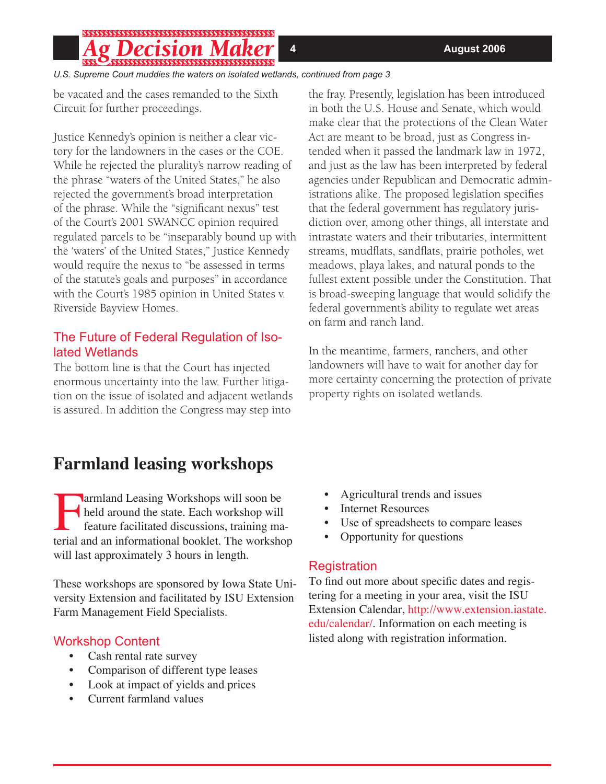# 

*U.S. Supreme Court muddies the waters on isolated wetlands, continued from page 3*

be vacated and the cases remanded to the Sixth Circuit for further proceedings.

Justice Kennedy's opinion is neither a clear victory for the landowners in the cases or the COE. While he rejected the plurality's narrow reading of the phrase "waters of the United States," he also rejected the government's broad interpretation of the phrase. While the "significant nexus" test of the Court's 2001 SWANCC opinion required regulated parcels to be "inseparably bound up with the 'waters' of the United States," Justice Kennedy would require the nexus to "be assessed in terms of the statute's goals and purposes" in accordance with the Court's 1985 opinion in United States v. Riverside Bayview Homes.

#### The Future of Federal Regulation of Isolated Wetlands

The bottom line is that the Court has injected enormous uncertainty into the law. Further litigation on the issue of isolated and adjacent wetlands is assured. In addition the Congress may step into

# **Farmland leasing workshops**

Farmland Leasing Workshops will soon be<br>held around the state. Each workshop will<br>feature facilitated discussions, training ma held around the state. Each workshop will feature facilitated discussions, training material and an informational booklet. The workshop will last approximately 3 hours in length.

These workshops are sponsored by Iowa State University Extension and facilitated by ISU Extension Farm Management Field Specialists.

#### Workshop Content

- Cash rental rate survey
- Comparison of different type leases
- Look at impact of yields and prices
- Current farmland values

the fray. Presently, legislation has been introduced in both the U.S. House and Senate, which would make clear that the protections of the Clean Water Act are meant to be broad, just as Congress intended when it passed the landmark law in 1972, and just as the law has been interpreted by federal agencies under Republican and Democratic administrations alike. The proposed legislation specifies that the federal government has regulatory jurisdiction over, among other things, all interstate and intrastate waters and their tributaries, intermittent streams, mudflats, sandflats, prairie potholes, wet meadows, playa lakes, and natural ponds to the fullest extent possible under the Constitution. That is broad-sweeping language that would solidify the federal government's ability to regulate wet areas on farm and ranch land.

In the meantime, farmers, ranchers, and other landowners will have to wait for another day for more certainty concerning the protection of private property rights on isolated wetlands.

- Agricultural trends and issues
- **Internet Resources**
- Use of spreadsheets to compare leases
- Opportunity for questions

#### Registration

To find out more about specific dates and registering for a meeting in your area, visit the ISU Extension Calendar, http://www.extension.iastate. edu/calendar/. Information on each meeting is listed along with registration information.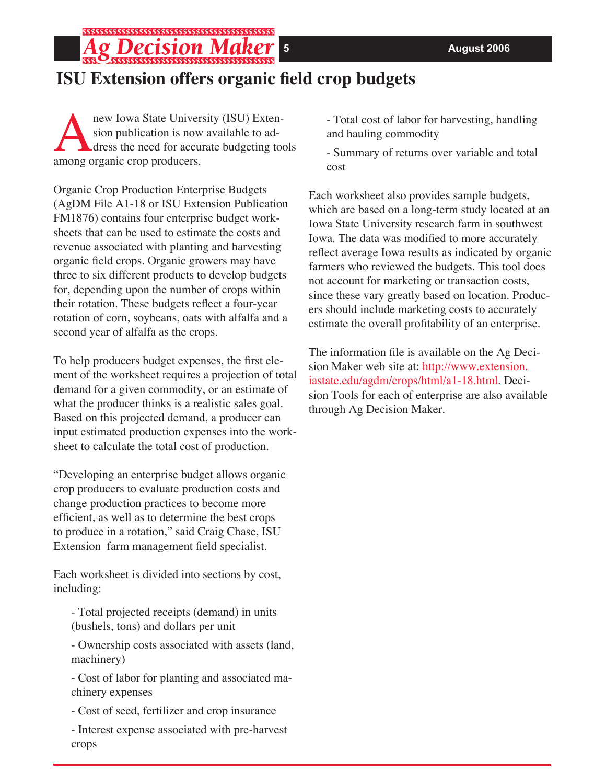# **ISU Extension offers organic field crop budgets**

new Iowa State University (ISU) Exten-<br>sion publication is now available to ad-<br>dress the need for accurate budgeting to sion publication is now available to address the need for accurate budgeting tools among organic crop producers.

\*\*\*\*\*\*\*\*\*\*\*\*\*\*\*\*\*\*\*\*\*\*\*\*\*\*\*\*\*\*\*\*\*\*\*\*

Organic Crop Production Enterprise Budgets (AgDM File A1-18 or ISU Extension Publication FM1876) contains four enterprise budget worksheets that can be used to estimate the costs and revenue associated with planting and harvesting organic field crops. Organic growers may have three to six different products to develop budgets for, depending upon the number of crops within their rotation. These budgets reflect a four-year rotation of corn, soybeans, oats with alfalfa and a second year of alfalfa as the crops.

To help producers budget expenses, the first element of the worksheet requires a projection of total demand for a given commodity, or an estimate of what the producer thinks is a realistic sales goal. Based on this projected demand, a producer can input estimated production expenses into the worksheet to calculate the total cost of production.

"Developing an enterprise budget allows organic crop producers to evaluate production costs and change production practices to become more efficient, as well as to determine the best crops to produce in a rotation," said Craig Chase, ISU Extension farm management field specialist.

Each worksheet is divided into sections by cost, including:

- Total projected receipts (demand) in units (bushels, tons) and dollars per unit

- Ownership costs associated with assets (land, machinery)

- Cost of labor for planting and associated machinery expenses

- Cost of seed, fertilizer and crop insurance

- Interest expense associated with pre-harvest crops

- Total cost of labor for harvesting, handling and hauling commodity

- Summary of returns over variable and total cost

Each worksheet also provides sample budgets, which are based on a long-term study located at an Iowa State University research farm in southwest Iowa. The data was modified to more accurately reflect average Iowa results as indicated by organic farmers who reviewed the budgets. This tool does not account for marketing or transaction costs, since these vary greatly based on location. Producers should include marketing costs to accurately estimate the overall profitability of an enterprise.

The information file is available on the Ag Decision Maker web site at: http://www.extension. iastate.edu/agdm/crops/html/a1-18.html. Decision Tools for each of enterprise are also available through Ag Decision Maker.